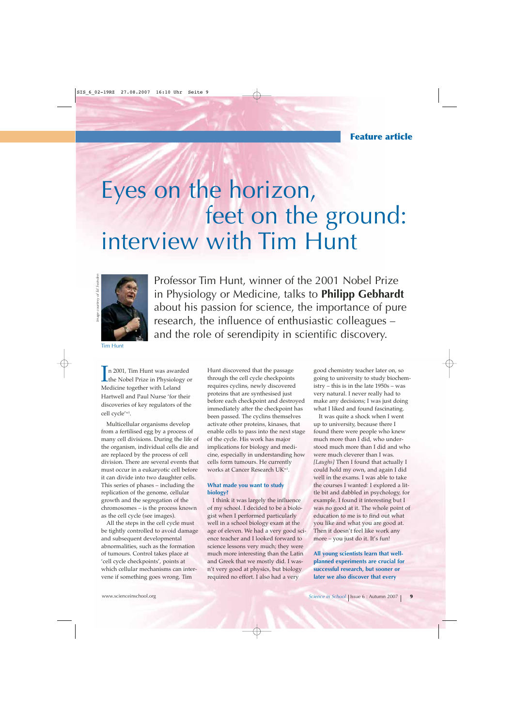# Eyes on the horizon, feet on the ground: interview with Tim Hunt



Professor Tim Hunt, winner of the 2001 Nobel Prize in Physiology or Medicine, talks to **Philipp Gebhardt** about his passion for science, the importance of pure research, the influence of enthusiastic colleagues – and the role of serendipity in scientific discovery.

Tim Hunt

In 2001, Tim Hunt was awarded<br>the Nobel Prize in Physiology of<br>Medicine teacher with Laked the Nobel Prize in Physiology or Medicine together with Leland Hartwell and Paul Nurse 'for their discoveries of key regulators of the cell cycle'w1.

Multicellular organisms develop from a fertilised egg by a process of many cell divisions. During the life of the organism, individual cells die and are replaced by the process of cell division. There are several events that must occur in a eukaryotic cell before it can divide into two daughter cells. This series of phases – including the replication of the genome, cellular growth and the segregation of the chromosomes – is the process known as the cell cycle (see images).

All the steps in the cell cycle must be tightly controlled to avoid damage and subsequent developmental abnormalities, such as the formation of tumours. Control takes place at 'cell cycle checkpoints', points at which cellular mechanisms can intervene if something goes wrong. Tim

Hunt discovered that the passage through the cell cycle checkpoints requires cyclins, newly discovered proteins that are synthesised just before each checkpoint and destroyed immediately after the checkpoint has been passed. The cyclins themselves activate other proteins, kinases, that enable cells to pass into the next stage of the cycle. His work has major implications for biology and medicine, especially in understanding how cells form tumours. He currently works at Cancer Research UKw2.

# **What made you want to study biology?**

I think it was largely the influence of my school. I decided to be a biologist when I performed particularly well in a school biology exam at the age of eleven. We had a very good science teacher and I looked forward to science lessons very much; they were much more interesting than the Latin and Greek that we mostly did. I wasn't very good at physics, but biology required no effort. I also had a very

good chemistry teacher later on, so going to university to study biochemistry – this is in the late 1950s – was very natural. I never really had to make any decisions; I was just doing what I liked and found fascinating.

It was quite a shock when I went up to university, because there I found there were people who knew much more than I did, who understood much more than I did and who were much cleverer than I was. *[Laughs]* Then I found that actually I could hold my own, and again I did well in the exams. I was able to take the courses I wanted: I explored a little bit and dabbled in psychology, for example. I found it interesting but I was no good at it. The whole point of education to me is to find out what you like and what you are good at. Then it doesn't feel like work any more – you just do it. It's fun!

**All young scientists learn that wellplanned experiments are crucial for successful research, but sooner or later we also discover that every**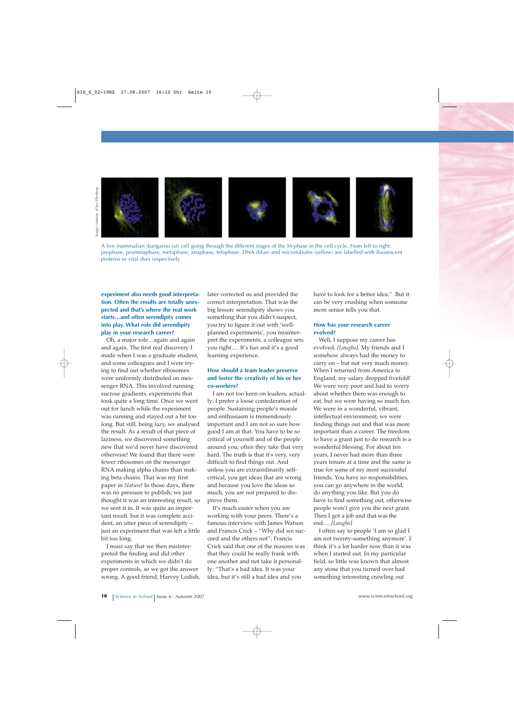

A live mammalian (kangaroo rat) cell going through the different stages of the M-phase in the cell cycle. From left to right: prophase, prometaphase, metaphase, anaphase, telophase. DNA (blue) and microtubules (yellow) are labelled with fluorescent proteins or vital dyes respectively

**experiment also needs good interpretation. Often the results are totally unexpected and that's where the real work starts…and often serendipity comes into play. What role did serendipity play in your research career?**

Oh, a major role…again and again and again. The first real discovery I made when I was a graduate student, and some colleagues and I were trying to find out whether ribosomes were uniformly distributed on messenger RNA. This involved running sucrose gradients, experiments that took quite a long time. Once we went out for lunch while the experiment was running and stayed out a bit too long. But still, being lazy, we analysed the result. As a result of that piece of laziness, we discovered something new that we'd never have discovered otherwise! We found that there were fewer ribosomes on the messenger RNA making alpha chains than making beta chains. That was my first paper in *Nature*! In those days, there was no pressure to publish; we just thought it was an interesting result, so we sent it in. It was quite an important result, but it was complete accident, an utter piece of serendipity – just an experiment that was left a little bit too long.

I must say that we then misinterpreted the finding and did other experiments in which we didn't do proper controls, so we got the answer wrong. A good friend, Harvey Lodish, later corrected us and provided the correct interpretation. That was the big lesson: serendipity shows you something that you didn't suspect, you try to figure it out with 'wellplanned experiments', you misinterpret the experiments, a colleague sets you right…. It's fun and it's a good learning experience.

#### **How should a team leader preserve and foster the creativity of his or her co-workers?**

I am not too keen on leaders, actually; I prefer a loose confederation of people. Sustaining people's morale and enthusiasm is tremendously important and I am not so sure how good I am at that. You have to be so critical of yourself and of the people around you; often they take that very hard. The truth is that it's very, very difficult to find things out. And unless you are extraordinarily selfcritical, you get ideas that are wrong and because you love the ideas so much, you are not prepared to disprove them.

It's much easier when you are working with your peers. There's a famous interview with James Watson and Francis Crick – "Why did we succeed and the others not"; Francis Crick said that one of the reasons was that they could be really frank with one another and not take it personally: "That's a bad idea. It was your idea, but it's still a bad idea and you

have to look for a better idea." But it can be very crushing when someone more senior tells you that.

#### **How has your research career evolved?**

Well, I suppose my career has evolved. *[Laughs]*. My friends and I somehow always had the money to carry on – but not very much money. When I returned from America to England, my salary dropped fivefold! We were very poor and had to worry about whether there was enough to eat, but we were having so much fun. We were in a wonderful, vibrant, intellectual environment; we were finding things out and that was more important than a career. The freedom to have a grant just to do research is a wonderful blessing. For about ten years, I never had more than three years tenure at a time and the same is true for some of my most successful friends. You have no responsibilities, you can go anywhere in the world, do anything you like. But you do have to find something out, otherwise people won't give you the next grant. Then I got a job and that was the end…. *[Laughs]*

I often say to people 'I am so glad I am not twenty-something anymore'. I think it's a lot harder now than it was when I started out. In my particular field, so little was known that almost any stone that you turned over had something interesting crawling out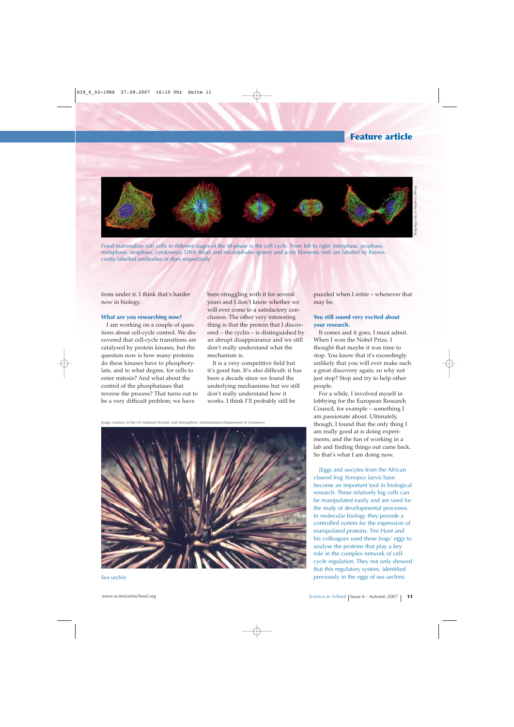# **Feature article**



Fixed mammalian (rat) cells in different stages of the M-phase in the cell cycle. From left to right: interphase, prophase, metaphase, anaphase, cytokinesis. DNA (blue) and microtubules (green) and actin filaments (red) are labeled by fluorescently labelled antibodies or dyes respectively

from under it. I think that's harder now in biology.

#### **What are you researching now?**

I am working on a couple of questions about cell-cycle control. We discovered that cell-cycle transitions are catalysed by protein kinases, but the question now is how many proteins do these kinases have to phosphorylate, and to what degree, for cells to enter mitosis? And what about the control of the phosphatases that reverse the process? That turns out to be a very difficult problem; we have

been struggling with it for several years and I don't know whether we will ever come to a satisfactory conclusion. The other very interesting thing is that the protein that I discovered – the cyclin – is distinguished by an abrupt disappearance and we still don't really understand what the mechanism is.

It is a very competitive field but it's good fun. It's also difficult: it has been a decade since we found the underlying mechanisms but we still don't really understand how it works. I think I'll probably still be

*Image courtesy of the US National Oceanic and Atmospheric Administration/Department of Commerce*



#### Sea urchin

puzzled when I retire – whenever that may be.

# **You still sound very excited about your research.**

It comes and it goes, I must admit. When I won the Nobel Prize, I thought that maybe it was time to stop. You know that it's exceedingly unlikely that you will ever make such a great discovery again, so why not just stop? Stop and try to help other people.

For a while, I involved myself in lobbying for the European Research Council, for example – something I am passionate about. Ultimately, though, I found that the only thing I am really good at is doing experiments, and the fun of working in a lab and finding things out came back. So that's what I am doing now.

[Eggs and oocytes from the African clawed frog *Xenopus laevis* have become an important tool in biological research. These relatively big cells can be manipulated easily and are used for the study of developmental processes. In molecular biology they provide a controlled system for the expression of manipulated proteins. Tim Hunt and his colleagues used these frogs' eggs to analyse the proteins that play a key role in the complex network of cellcycle regulation. They not only showed that this regulatory system, identified previously in the eggs of sea urchins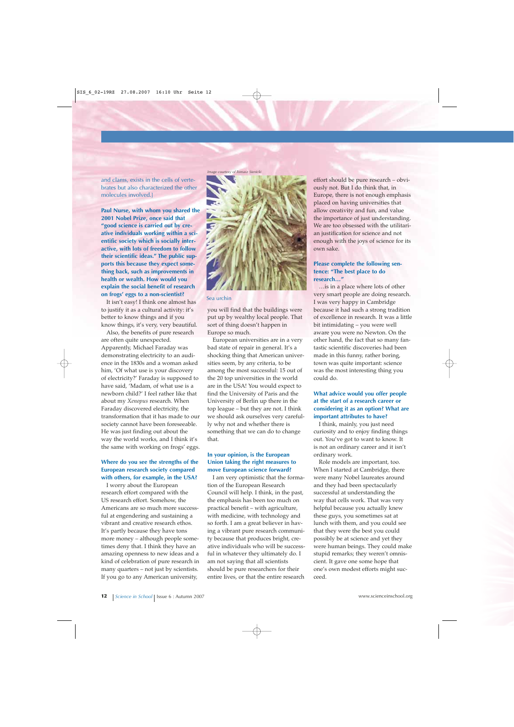and clams, exists in the cells of vertebrates but also characterized the other molecules involved.]

**Paul Nurse, with whom you shared the 2001 Nobel Prize, once said that "good science is carried out by creative individuals working within a scientific society which is socially interactive, with lots of freedom to follow their scientific ideas." The public supports this because they expect something back, such as improvements in health or wealth. How would you explain the social benefit of research on frogs' eggs to a non-scientist?**

It isn't easy! I think one almost has to justify it as a cultural activity: it's better to know things and if you know things, it's very, very beautiful.

Also, the benefits of pure research are often quite unexpected. Apparently, Michael Faraday was demonstrating electricity to an audience in the 1830s and a woman asked him, 'Of what use is your discovery of electricity?' Faraday is supposed to have said, 'Madam, of what use is a newborn child?' I feel rather like that about my *Xenopus* research. When Faraday discovered electricity, the transformation that it has made to our society cannot have been foreseeable. He was just finding out about the way the world works, and I think it's the same with working on frogs' eggs.

# **Where do you see the strengths of the European research society compared with others, for example, in the USA?**

I worry about the European research effort compared with the US research effort. Somehow, the Americans are so much more successful at engendering and sustaining a vibrant and creative research ethos. It's partly because they have tons more money – although people sometimes deny that. I think they have an amazing openness to new ideas and a kind of celebration of pure research in many quarters – not just by scientists. If you go to any American university,



Sea urchin

you will find that the buildings were put up by wealthy local people. That sort of thing doesn't happen in Europe so much.

European universities are in a very bad state of repair in general. It's a shocking thing that American universities seem, by any criteria, to be among the most successful: 15 out of the 20 top universities in the world are in the USA! You would expect to find the University of Paris and the University of Berlin up there in the top league – but they are not. I think we should ask ourselves very carefully why not and whether there is something that we can do to change that.

## **In your opinion, is the European Union taking the right measures to move European science forward?**

I am very optimistic that the formation of the European Research Council will help. I think, in the past, the emphasis has been too much on practical benefit – with agriculture, with medicine, with technology and so forth. I am a great believer in having a vibrant pure research community because that produces bright, creative individuals who will be successful in whatever they ultimately do. I am not saying that all scientists should be pure researchers for their entire lives, or that the entire research effort should be pure research – obviously not. But I do think that, in Europe, there is not enough emphasis placed on having universities that allow creativity and fun, and value the importance of just understanding. We are too obsessed with the utilitarian justification for science and not enough with the joys of science for its own sake.

# **Please complete the following sentence: "The best place to do research…"**

…is in a place where lots of other very smart people are doing research. I was very happy in Cambridge because it had such a strong tradition of excellence in research. It was a little bit intimidating – you were well aware you were no Newton. On the other hand, the fact that so many fantastic scientific discoveries had been made in this funny, rather boring, town was quite important: science was the most interesting thing you could do.

# **What advice would you offer people at the start of a research career or considering it as an option? What are important attributes to have?**

I think, mainly, you just need curiosity and to enjoy finding things out. You've got to want to know. It is not an ordinary career and it isn't ordinary work.

Role models are important, too. When I started at Cambridge, there were many Nobel laureates around and they had been spectacularly successful at understanding the way that cells work. That was very helpful because you actually knew these guys, you sometimes sat at lunch with them, and you could see that they were the best you could possibly be at science and yet they were human beings. They could make stupid remarks; they weren't omniscient. It gave one some hope that one's own modest efforts might succeed.